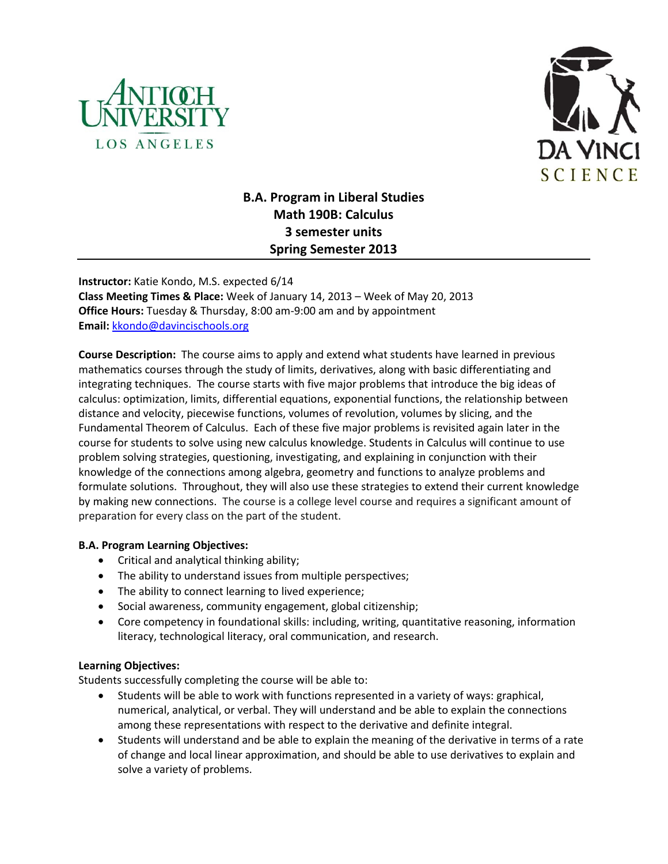



# **B.A. Program in Liberal Studies Math 190B: Calculus 3 semester units Spring Semester 2013**

**Instructor:** Katie Kondo, M.S. expected 6/14 **Class Meeting Times & Place:** Week of January 14, 2013 – Week of May 20, 2013 **Office Hours:** Tuesday & Thursday, 8:00 am-9:00 am and by appointment **Email:** [kkondo@davincischools.org](mailto:kkondo@davincischools.org)

**Course Description:** The course aims to apply and extend what students have learned in previous mathematics courses through the study of limits, derivatives, along with basic differentiating and integrating techniques. The course starts with five major problems that introduce the big ideas of calculus: optimization, limits, differential equations, exponential functions, the relationship between distance and velocity, piecewise functions, volumes of revolution, volumes by slicing, and the Fundamental Theorem of Calculus. Each of these five major problems is revisited again later in the course for students to solve using new calculus knowledge. Students in Calculus will continue to use problem solving strategies, questioning, investigating, and explaining in conjunction with their knowledge of the connections among algebra, geometry and functions to analyze problems and formulate solutions. Throughout, they will also use these strategies to extend their current knowledge by making new connections. The course is a college level course and requires a significant amount of preparation for every class on the part of the student.

#### **B.A. Program Learning Objectives:**

- Critical and analytical thinking ability;
- The ability to understand issues from multiple perspectives;
- The ability to connect learning to lived experience;
- Social awareness, community engagement, global citizenship;
- Core competency in foundational skills: including, writing, quantitative reasoning, information literacy, technological literacy, oral communication, and research.

#### **Learning Objectives:**

Students successfully completing the course will be able to:

- Students will be able to work with functions represented in a variety of ways: graphical, numerical, analytical, or verbal. They will understand and be able to explain the connections among these representations with respect to the derivative and definite integral.
- Students will understand and be able to explain the meaning of the derivative in terms of a rate of change and local linear approximation, and should be able to use derivatives to explain and solve a variety of problems.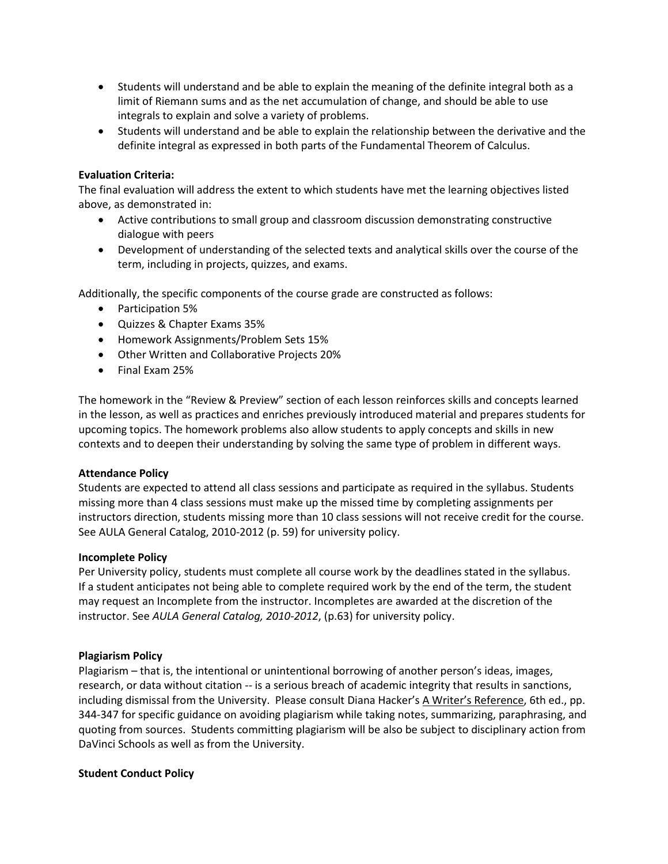- Students will understand and be able to explain the meaning of the definite integral both as a limit of Riemann sums and as the net accumulation of change, and should be able to use integrals to explain and solve a variety of problems.
- Students will understand and be able to explain the relationship between the derivative and the definite integral as expressed in both parts of the Fundamental Theorem of Calculus.

#### **Evaluation Criteria:**

The final evaluation will address the extent to which students have met the learning objectives listed above, as demonstrated in:

- Active contributions to small group and classroom discussion demonstrating constructive dialogue with peers
- Development of understanding of the selected texts and analytical skills over the course of the term, including in projects, quizzes, and exams.

Additionally, the specific components of the course grade are constructed as follows:

- Participation 5%
- Quizzes & Chapter Exams 35%
- Homework Assignments/Problem Sets 15%
- Other Written and Collaborative Projects 20%
- Final Exam 25%

The homework in the "Review & Preview" section of each lesson reinforces skills and concepts learned in the lesson, as well as practices and enriches previously introduced material and prepares students for upcoming topics. The homework problems also allow students to apply concepts and skills in new contexts and to deepen their understanding by solving the same type of problem in different ways.

#### **Attendance Policy**

Students are expected to attend all class sessions and participate as required in the syllabus. Students missing more than 4 class sessions must make up the missed time by completing assignments per instructors direction, students missing more than 10 class sessions will not receive credit for the course. See AULA General Catalog, 2010-2012 (p. 59) for university policy.

#### **Incomplete Policy**

Per University policy, students must complete all course work by the deadlines stated in the syllabus. If a student anticipates not being able to complete required work by the end of the term, the student may request an Incomplete from the instructor. Incompletes are awarded at the discretion of the instructor. See *AULA General Catalog, 2010-2012*, (p.63) for university policy.

#### **Plagiarism Policy**

Plagiarism – that is, the intentional or unintentional borrowing of another person's ideas, images, research, or data without citation -- is a serious breach of academic integrity that results in sanctions, including dismissal from the University. Please consult Diana Hacker's A Writer's Reference, 6th ed., pp. 344-347 for specific guidance on avoiding plagiarism while taking notes, summarizing, paraphrasing, and quoting from sources. Students committing plagiarism will be also be subject to disciplinary action from DaVinci Schools as well as from the University.

#### **Student Conduct Policy**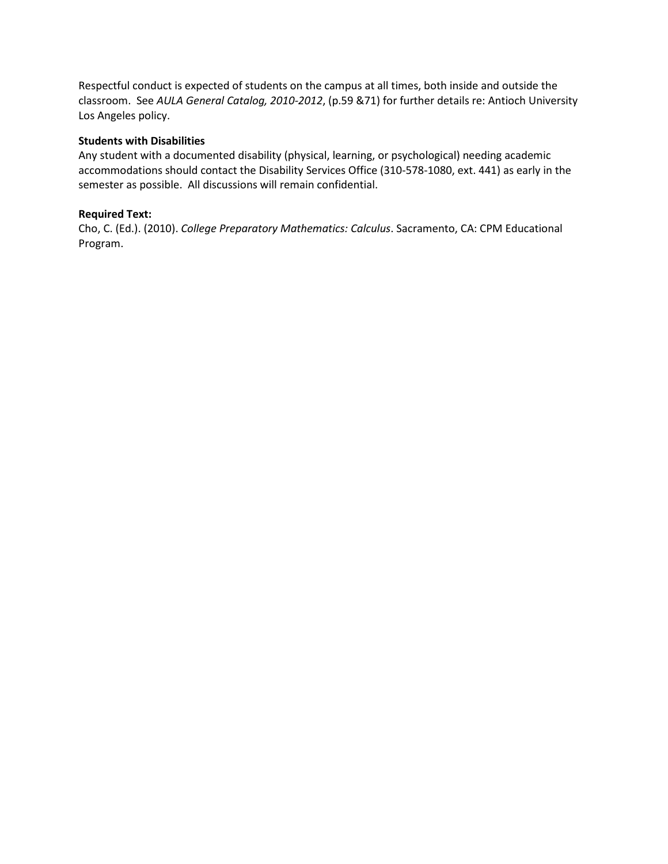Respectful conduct is expected of students on the campus at all times, both inside and outside the classroom. See *AULA General Catalog, 2010-2012*, (p.59 &71) for further details re: Antioch University Los Angeles policy.

#### **Students with Disabilities**

Any student with a documented disability (physical, learning, or psychological) needing academic accommodations should contact the Disability Services Office (310-578-1080, ext. 441) as early in the semester as possible. All discussions will remain confidential.

#### **Required Text:**

Cho, C. (Ed.). (2010). *College Preparatory Mathematics: Calculus*. Sacramento, CA: CPM Educational Program.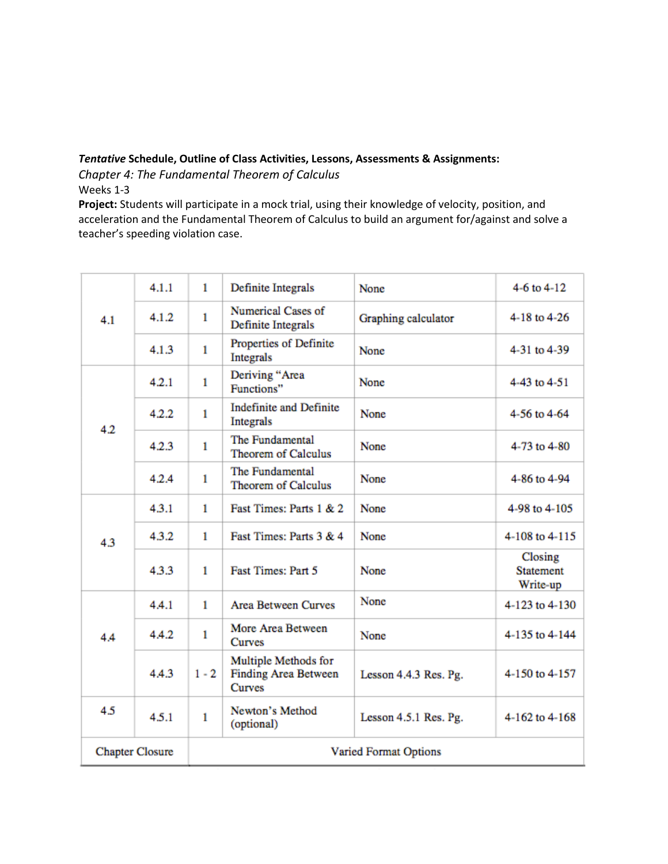#### *Tentative* **Schedule, Outline of Class Activities, Lessons, Assessments & Assignments:**

*Chapter 4: The Fundamental Theorem of Calculus*

Weeks 1-3

**Project:** Students will participate in a mock trial, using their knowledge of velocity, position, and acceleration and the Fundamental Theorem of Calculus to build an argument for/against and solve a teacher's speeding violation case.

| 4.1                    | 4.1.1 | 1                            | Definite Integrals                                            | None                  | 4-6 to $4-12$                           |
|------------------------|-------|------------------------------|---------------------------------------------------------------|-----------------------|-----------------------------------------|
|                        | 4.1.2 | 1                            | Numerical Cases of<br>Definite Integrals                      | Graphing calculator   | 4-18 to 4-26                            |
|                        | 4.1.3 | 1                            | Properties of Definite<br><b>Integrals</b>                    | None                  | 4-31 to 4-39                            |
| 4.2                    | 4.2.1 | 1                            | Deriving "Area<br>Functions"                                  | None                  | 4-43 to 4-51                            |
|                        | 4.2.2 | 1                            | <b>Indefinite and Definite</b><br>Integrals                   | None                  | 4-56 to 4-64                            |
|                        | 4.2.3 | $\mathbf{1}$                 | The Fundamental<br>Theorem of Calculus                        | None                  | 4-73 to 4-80                            |
|                        | 4.2.4 | 1                            | The Fundamental<br>Theorem of Calculus                        | None                  | 4-86 to 4-94                            |
|                        | 4.3.1 | 1                            | Fast Times: Parts 1 & 2                                       | None                  | 4-98 to 4-105                           |
| 4.3                    | 4.3.2 | 1                            | Fast Times: Parts 3 & 4                                       | None                  | 4-108 to 4-115                          |
|                        | 4.3.3 | 1                            | Fast Times: Part 5                                            | None                  | Closing<br><b>Statement</b><br>Write-up |
| 4.4                    | 4.4.1 | $\mathbf{1}$                 | <b>Area Between Curves</b>                                    | None                  | 4-123 to 4-130                          |
|                        | 4.4.2 | $\mathbf{1}$                 | More Area Between<br><b>Curves</b>                            | None                  | 4-135 to 4-144                          |
|                        | 4.4.3 | $1 - 2$                      | Multiple Methods for<br><b>Finding Area Between</b><br>Curves | Lesson 4.4.3 Res. Pg. | 4-150 to 4-157                          |
| 4.5                    | 4.5.1 | $\mathbf{1}$                 | Newton's Method<br>(optional)                                 | Lesson 4.5.1 Res. Pg. | 4-162 to 4-168                          |
| <b>Chapter Closure</b> |       | <b>Varied Format Options</b> |                                                               |                       |                                         |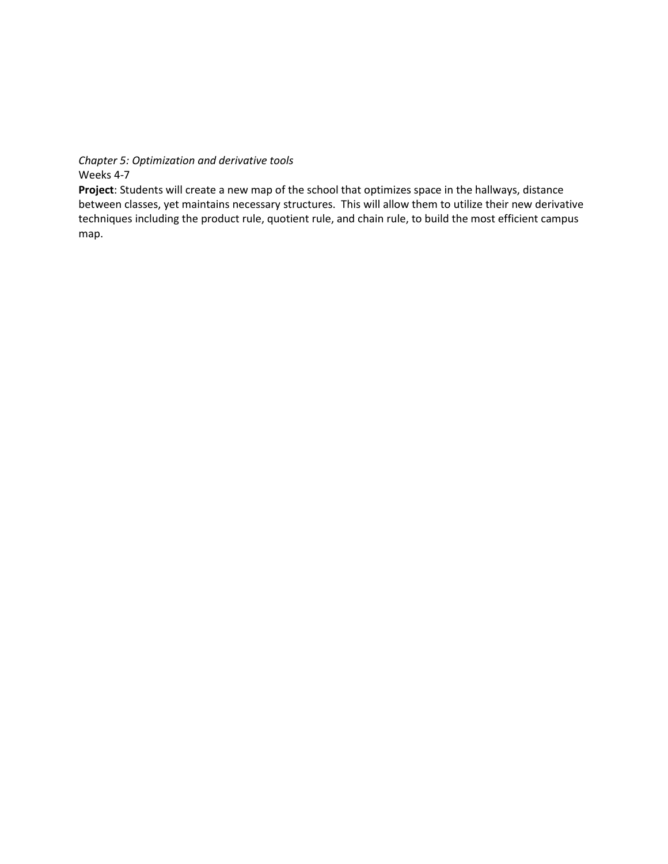*Chapter 5: Optimization and derivative tools*

Weeks 4-7

**Project**: Students will create a new map of the school that optimizes space in the hallways, distance between classes, yet maintains necessary structures. This will allow them to utilize their new derivative techniques including the product rule, quotient rule, and chain rule, to build the most efficient campus map.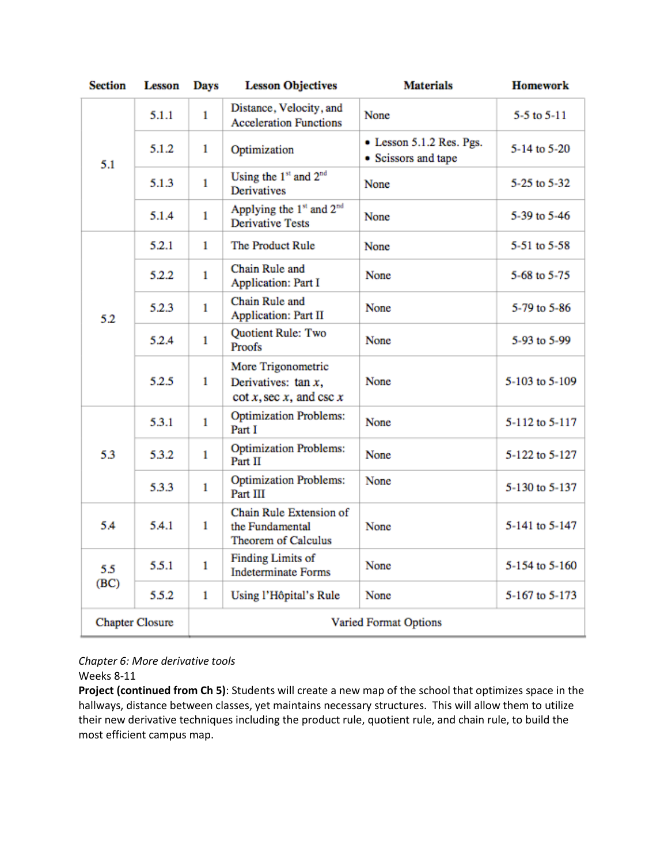| <b>Section</b>         | <b>Lesson</b> | <b>Days</b>           | <b>Lesson Objectives</b>                                                    | <b>Materials</b>                                | <b>Homework</b> |
|------------------------|---------------|-----------------------|-----------------------------------------------------------------------------|-------------------------------------------------|-----------------|
| 5.1                    | 5.1.1         | $\mathbf{1}$          | Distance, Velocity, and<br><b>Acceleration Functions</b>                    | None                                            | 5-5 to $5-11$   |
|                        | 5.1.2         | 1                     | Optimization                                                                | • Lesson 5.1.2 Res. Pgs.<br>• Scissors and tape | 5-14 to 5-20    |
|                        | 5.1.3         | $\mathbf{1}$          | Using the 1st and 2 <sup>nd</sup><br><b>Derivatives</b>                     | None                                            | 5-25 to 5-32    |
|                        | 5.1.4         | $\mathbf{1}$          | Applying the 1 <sup>st</sup> and 2 <sup>nd</sup><br><b>Derivative Tests</b> | None                                            | 5-39 to 5-46    |
|                        | 5.2.1         | 1                     | The Product Rule                                                            | None                                            | 5-51 to 5-58    |
| 5.2                    | 5.2.2         | $\mathbf{1}$          | Chain Rule and<br><b>Application: Part I</b>                                | None                                            | 5-68 to 5-75    |
|                        | 5.2.3         | 1                     | Chain Rule and<br><b>Application: Part II</b>                               | <b>None</b>                                     | 5-79 to 5-86    |
|                        | 5.2.4         | $\mathbf{1}$          | <b>Ouotient Rule: Two</b><br>Proofs                                         | None                                            | 5-93 to 5-99    |
|                        | 5.2.5         | $\mathbf{1}$          | More Trigonometric<br>Derivatives: $tan x$ ,<br>$\cot x$ , sec x, and csc x | None                                            | 5-103 to 5-109  |
| 53                     | 5.3.1         | $\mathbf{1}$          | <b>Optimization Problems:</b><br>Part I                                     | None                                            | 5-112 to 5-117  |
|                        | 5.3.2         | $\mathbf{1}$          | <b>Optimization Problems:</b><br>Part II                                    | None                                            | 5-122 to 5-127  |
|                        | 5.3.3         | 1                     | <b>Optimization Problems:</b><br>Part III                                   | None                                            | 5-130 to 5-137  |
| 5.4                    | 5.4.1         | 1                     | Chain Rule Extension of<br>the Fundamental<br><b>Theorem of Calculus</b>    | None                                            | 5-141 to 5-147  |
| 5.5<br>(BC)            | 5.5.1         | $\mathbf{1}$          | <b>Finding Limits of</b><br><b>Indeterminate Forms</b>                      | None                                            | 5-154 to 5-160  |
|                        | 5.5.2         | $\mathbf{1}$          | Using l'Hôpital's Rule                                                      | None                                            | 5-167 to 5-173  |
| <b>Chapter Closure</b> |               | Varied Format Options |                                                                             |                                                 |                 |

*Chapter 6: More derivative tools*

Weeks 8-11

**Project (continued from Ch 5)**: Students will create a new map of the school that optimizes space in the hallways, distance between classes, yet maintains necessary structures. This will allow them to utilize their new derivative techniques including the product rule, quotient rule, and chain rule, to build the most efficient campus map.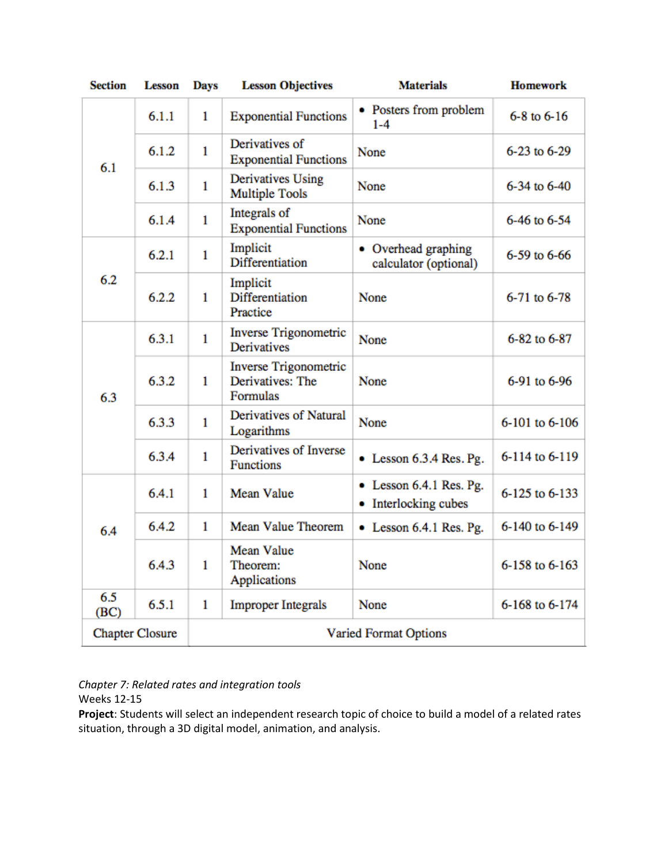| <b>Section</b>         | <b>Lesson</b> | Days                         | <b>Lesson Objectives</b>                                     | <b>Materials</b>                                | <b>Homework</b>     |
|------------------------|---------------|------------------------------|--------------------------------------------------------------|-------------------------------------------------|---------------------|
| 6.1                    | 6.1.1         | 1                            | <b>Exponential Functions</b>                                 | • Posters from problem<br>$1 - 4$               | $6 - 8$ to $6 - 16$ |
|                        | 6.1.2         | $\mathbf{1}$                 | Derivatives of<br><b>Exponential Functions</b>               | None                                            | 6-23 to 6-29        |
|                        | 6.1.3         | 1                            | <b>Derivatives Using</b><br><b>Multiple Tools</b>            | None                                            | 6-34 to 6-40        |
|                        | 6.1.4         | $\mathbf{1}$                 | Integrals of<br><b>Exponential Functions</b>                 | None                                            | 6-46 to 6-54        |
| 6.2                    | 6.2.1         | $\mathbf{1}$                 | Implicit<br><b>Differentiation</b>                           | • Overhead graphing<br>calculator (optional)    | 6-59 to 6-66        |
|                        | 6.2.2         | $\mathbf{1}$                 | Implicit<br><b>Differentiation</b><br>Practice               | None                                            | 6-71 to 6-78        |
| 6.3                    | 6.3.1         | 1                            | <b>Inverse Trigonometric</b><br><b>Derivatives</b>           | None                                            | 6-82 to 6-87        |
|                        | 6.3.2         | 1                            | <b>Inverse Trigonometric</b><br>Derivatives: The<br>Formulas | None                                            | 6-91 to 6-96        |
|                        | 6.3.3         | $\mathbf{1}$                 | Derivatives of Natural<br>Logarithms                         | None                                            | 6-101 to 6-106      |
|                        | 6.3.4         | $\mathbf{1}$                 | Derivatives of Inverse<br><b>Functions</b>                   | $\bullet$ Lesson 6.3.4 Res. Pg.                 | 6-114 to 6-119      |
| 6.4                    | 6.4.1         | $\mathbf{1}$                 | <b>Mean Value</b>                                            | • Lesson 6.4.1 Res. Pg.<br>• Interlocking cubes | 6-125 to 6-133      |
|                        | 6.4.2         | 1                            | <b>Mean Value Theorem</b>                                    | • Lesson 6.4.1 Res. Pg.                         | 6-140 to 6-149      |
|                        | 6.4.3         | 1                            | <b>Mean Value</b><br>Theorem:<br>Applications                | None                                            | 6-158 to 6-163      |
| 6.5<br>(BC)            | 6.5.1         | 1                            | <b>Improper Integrals</b>                                    | None                                            | 6-168 to 6-174      |
| <b>Chapter Closure</b> |               | <b>Varied Format Options</b> |                                                              |                                                 |                     |

## *Chapter 7: Related rates and integration tools*

Weeks 12-15

**Project**: Students will select an independent research topic of choice to build a model of a related rates situation, through a 3D digital model, animation, and analysis.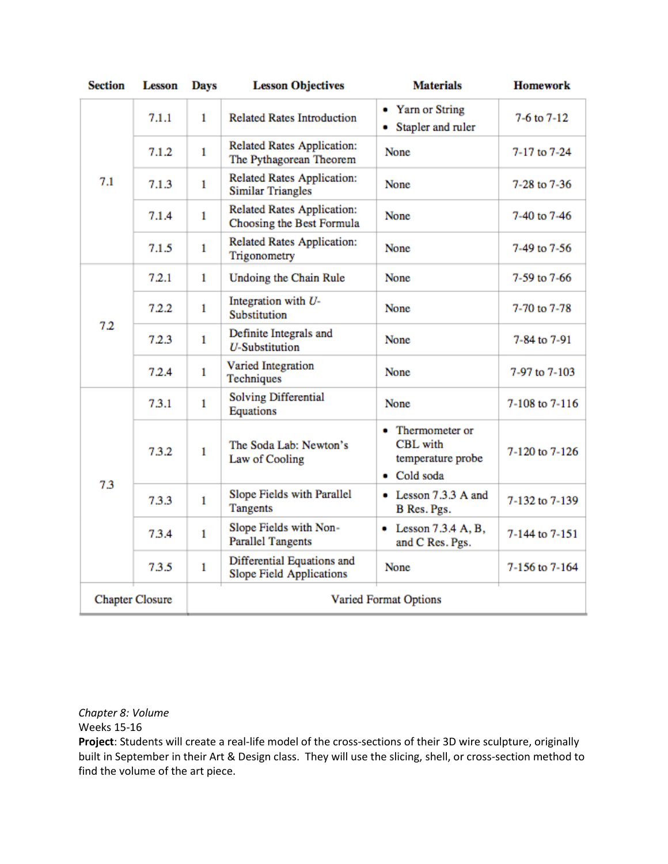| <b>Section</b>         | <b>Lesson</b> | Days                         | <b>Lesson Objectives</b>                                       | <b>Materials</b>                                                        | <b>Homework</b> |
|------------------------|---------------|------------------------------|----------------------------------------------------------------|-------------------------------------------------------------------------|-----------------|
| 7.1                    | 7.1.1         | 1                            | <b>Related Rates Introduction</b>                              | • Yarn or String<br>• Stapler and ruler                                 | 7-6 to 7-12     |
|                        | 7.1.2         | $\mathbf{1}$                 | <b>Related Rates Application:</b><br>The Pythagorean Theorem   | <b>None</b>                                                             | 7-17 to 7-24    |
|                        | 7.1.3         | $\mathbf{1}$                 | <b>Related Rates Application:</b><br><b>Similar Triangles</b>  | None                                                                    | 7-28 to 7-36    |
|                        | 7.1.4         | $\mathbf{1}$                 | <b>Related Rates Application:</b><br>Choosing the Best Formula | None                                                                    | 7-40 to 7-46    |
|                        | 7.1.5         | $\mathbf{1}$                 | <b>Related Rates Application:</b><br>Trigonometry              | None                                                                    | 7-49 to 7-56    |
| 7.2                    | 7.2.1         | $\mathbf{1}$                 | Undoing the Chain Rule                                         | None                                                                    | 7-59 to 7-66    |
|                        | 7.2.2         | $\mathbf{1}$                 | Integration with U-<br>Substitution                            | None                                                                    | 7-70 to 7-78    |
|                        | 7.2.3         | $\mathbf{1}$                 | Definite Integrals and<br><b>U-Substitution</b>                | <b>None</b>                                                             | 7-84 to 7-91    |
|                        | 7.2.4         | $\mathbf{1}$                 | Varied Integration<br>Techniques                               | None                                                                    | 7-97 to 7-103   |
| 7.3                    | 7.3.1         | $\mathbf{1}$                 | Solving Differential<br>Equations                              | None                                                                    | 7-108 to 7-116  |
|                        | 7.3.2         | 1                            | The Soda Lab: Newton's<br>Law of Cooling                       | • Thermometer or<br><b>CBL</b> with<br>temperature probe<br>• Cold soda | 7-120 to 7-126  |
|                        | 7.3.3         | $\mathbf{1}$                 | Slope Fields with Parallel<br><b>Tangents</b>                  | • Lesson 7.3.3 A and<br>B Res. Pgs.                                     | 7-132 to 7-139  |
|                        | 7.3.4         | $\mathbf{1}$                 | Slope Fields with Non-<br><b>Parallel Tangents</b>             | $\bullet$ Lesson 7.3.4 A, B,<br>and C Res. Pgs.                         | 7-144 to 7-151  |
|                        | 7.3.5         | $\mathbf{1}$                 | Differential Equations and<br><b>Slope Field Applications</b>  | None                                                                    | 7-156 to 7-164  |
| <b>Chapter Closure</b> |               | <b>Varied Format Options</b> |                                                                |                                                                         |                 |

*Chapter 8: Volume*

Weeks 15-16

**Project**: Students will create a real-life model of the cross-sections of their 3D wire sculpture, originally built in September in their Art & Design class. They will use the slicing, shell, or cross-section method to find the volume of the art piece.